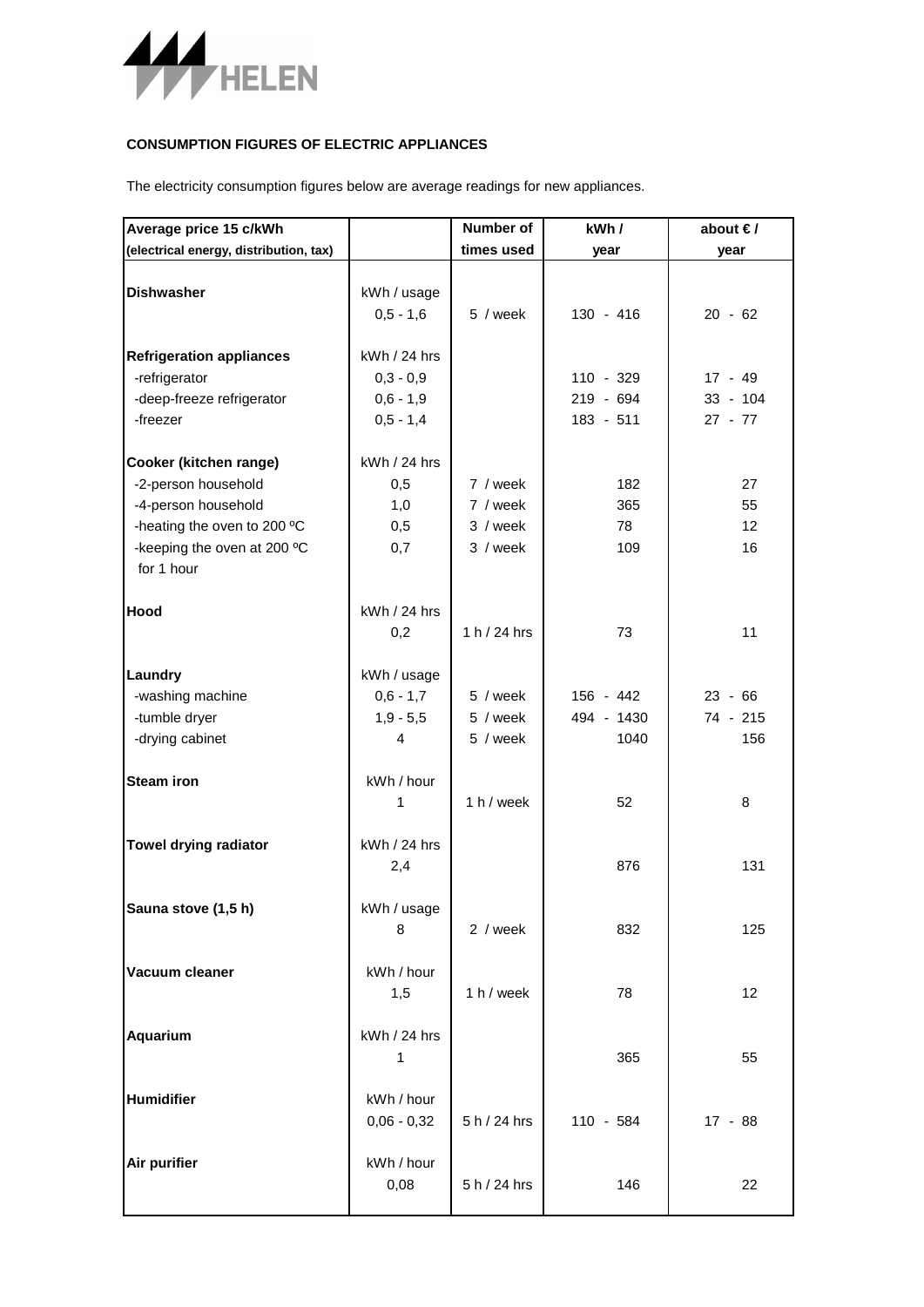

## **CONSUMPTION FIGURES OF ELECTRIC APPLIANCES**

The electricity consumption figures below are average readings for new appliances.

| Average price 15 c/kWh                                                                                                                           |                                                           | Number of                                    | kWh/                                  | about $\epsilon$ /                   |
|--------------------------------------------------------------------------------------------------------------------------------------------------|-----------------------------------------------------------|----------------------------------------------|---------------------------------------|--------------------------------------|
| (electrical energy, distribution, tax)                                                                                                           |                                                           | times used                                   | year                                  | year                                 |
| <b>Dishwasher</b>                                                                                                                                | kWh / usage<br>$0,5 - 1,6$                                | 5 / week                                     | $130 - 416$                           | $20 - 62$                            |
| <b>Refrigeration appliances</b><br>-refrigerator<br>-deep-freeze refrigerator<br>-freezer                                                        | kWh / 24 hrs<br>$0,3 - 0,9$<br>$0,6 - 1,9$<br>$0,5 - 1,4$ |                                              | $110 - 329$<br>219 - 694<br>183 - 511 | $17 - 49$<br>$33 - 104$<br>$27 - 77$ |
| Cooker (kitchen range)<br>-2-person household<br>-4-person household<br>-heating the oven to 200 °C<br>-keeping the oven at 200 °C<br>for 1 hour | kWh / 24 hrs<br>0,5<br>1,0<br>0,5<br>0,7                  | 7 / week<br>7 / week<br>3 / week<br>3 / week | 182<br>365<br>78<br>109               | 27<br>55<br>12<br>16                 |
| Hood                                                                                                                                             | kWh / 24 hrs<br>0,2                                       | $1 h / 24 h$ rs                              | 73                                    | 11                                   |
| Laundry<br>-washing machine<br>-tumble dryer<br>-drying cabinet                                                                                  | kWh / usage<br>$0,6 - 1,7$<br>$1,9 - 5,5$<br>4            | 5 / week<br>5 / week<br>5 / week             | 156 - 442<br>494 - 1430<br>1040       | $23 - 66$<br>74 - 215<br>156         |
| <b>Steam iron</b>                                                                                                                                | kWh / hour<br>1                                           | 1 h / week                                   | 52                                    | 8                                    |
| Towel drying radiator                                                                                                                            | kWh / 24 hrs<br>2,4                                       |                                              | 876                                   | 131                                  |
| Sauna stove (1,5 h)                                                                                                                              | kWh / usage<br>8                                          | 2 / week                                     | 832                                   | 125                                  |
| Vacuum cleaner                                                                                                                                   | kWh / hour<br>1,5                                         | 1 h / week                                   | 78                                    | 12                                   |
| Aquarium                                                                                                                                         | kWh / 24 hrs<br>1                                         |                                              | 365                                   | 55                                   |
| Humidifier                                                                                                                                       | kWh / hour<br>$0,06 - 0,32$                               | 5 h / 24 hrs                                 | 110 - 584                             | $17 - 88$                            |
| Air purifier                                                                                                                                     | kWh / hour<br>0,08                                        | 5 h / 24 hrs                                 | 146                                   | 22                                   |